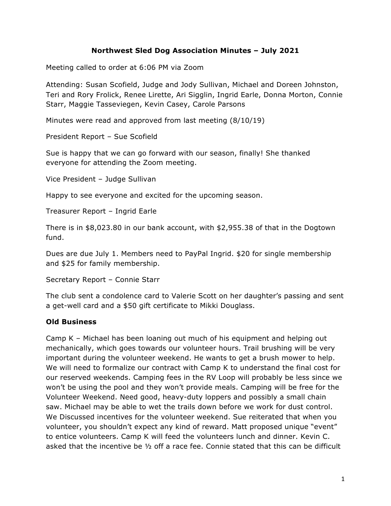### **Northwest Sled Dog Association Minutes – July 2021**

Meeting called to order at 6:06 PM via Zoom

Attending: Susan Scofield, Judge and Jody Sullivan, Michael and Doreen Johnston, Teri and Rory Frolick, Renee Lirette, Ari Sigglin, Ingrid Earle, Donna Morton, Connie Starr, Maggie Tasseviegen, Kevin Casey, Carole Parsons

Minutes were read and approved from last meeting (8/10/19)

President Report – Sue Scofield

Sue is happy that we can go forward with our season, finally! She thanked everyone for attending the Zoom meeting.

Vice President – Judge Sullivan

Happy to see everyone and excited for the upcoming season.

Treasurer Report – Ingrid Earle

There is in \$8,023.80 in our bank account, with \$2,955.38 of that in the Dogtown fund.

Dues are due July 1. Members need to PayPal Ingrid. \$20 for single membership and \$25 for family membership.

Secretary Report – Connie Starr

The club sent a condolence card to Valerie Scott on her daughter's passing and sent a get-well card and a \$50 gift certificate to Mikki Douglass.

#### **Old Business**

Camp K – Michael has been loaning out much of his equipment and helping out mechanically, which goes towards our volunteer hours. Trail brushing will be very important during the volunteer weekend. He wants to get a brush mower to help. We will need to formalize our contract with Camp K to understand the final cost for our reserved weekends. Camping fees in the RV Loop will probably be less since we won't be using the pool and they won't provide meals. Camping will be free for the Volunteer Weekend. Need good, heavy-duty loppers and possibly a small chain saw. Michael may be able to wet the trails down before we work for dust control. We Discussed incentives for the volunteer weekend. Sue reiterated that when you volunteer, you shouldn't expect any kind of reward. Matt proposed unique "event" to entice volunteers. Camp K will feed the volunteers lunch and dinner. Kevin C. asked that the incentive be ½ off a race fee. Connie stated that this can be difficult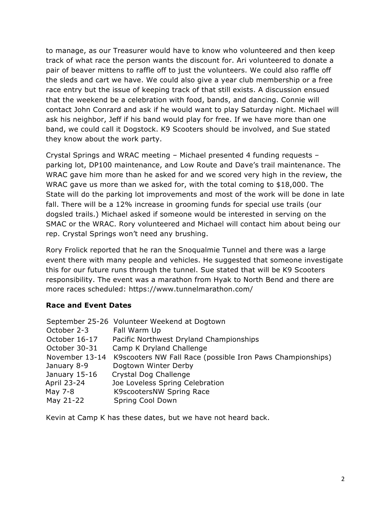to manage, as our Treasurer would have to know who volunteered and then keep track of what race the person wants the discount for. Ari volunteered to donate a pair of beaver mittens to raffle off to just the volunteers. We could also raffle off the sleds and cart we have. We could also give a year club membership or a free race entry but the issue of keeping track of that still exists. A discussion ensued that the weekend be a celebration with food, bands, and dancing. Connie will contact John Conrard and ask if he would want to play Saturday night. Michael will ask his neighbor, Jeff if his band would play for free. If we have more than one band, we could call it Dogstock. K9 Scooters should be involved, and Sue stated they know about the work party.

Crystal Springs and WRAC meeting – Michael presented 4 funding requests – parking lot, DP100 maintenance, and Low Route and Dave's trail maintenance. The WRAC gave him more than he asked for and we scored very high in the review, the WRAC gave us more than we asked for, with the total coming to \$18,000. The State will do the parking lot improvements and most of the work will be done in late fall. There will be a 12% increase in grooming funds for special use trails (our dogsled trails.) Michael asked if someone would be interested in serving on the SMAC or the WRAC. Rory volunteered and Michael will contact him about being our rep. Crystal Springs won't need any brushing.

Rory Frolick reported that he ran the Snoqualmie Tunnel and there was a large event there with many people and vehicles. He suggested that someone investigate this for our future runs through the tunnel. Sue stated that will be K9 Scooters responsibility. The event was a marathon from Hyak to North Bend and there are more races scheduled: https://www.tunnelmarathon.com/

## **Race and Event Dates**

|                | September 25-26 Volunteer Weekend at Dogtown               |
|----------------|------------------------------------------------------------|
| October 2-3    | Fall Warm Up                                               |
| October 16-17  | Pacific Northwest Dryland Championships                    |
| October 30-31  | Camp K Dryland Challenge                                   |
| November 13-14 | K9scooters NW Fall Race (possible Iron Paws Championships) |
| January 8-9    | Dogtown Winter Derby                                       |
| January 15-16  | Crystal Dog Challenge                                      |
| April 23-24    | Joe Loveless Spring Celebration                            |
| May 7-8        | K9scootersNW Spring Race                                   |
| May 21-22      | Spring Cool Down                                           |

Kevin at Camp K has these dates, but we have not heard back.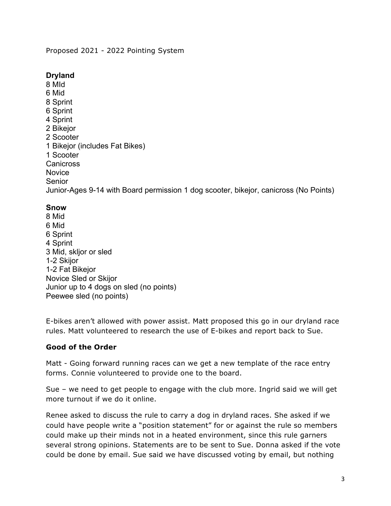Proposed 2021 - 2022 Pointing System

## **Dryland**

8 MId 6 Mid 8 Sprint 6 Sprint 4 Sprint 2 Bikejor 2 Scooter 1 Bikejor (includes Fat Bikes) 1 Scooter **Canicross Novice** Senior Junior-Ages 9-14 with Board permission 1 dog scooter, bikejor, canicross (No Points)

## **Snow**

8 Mid 6 Mid 6 Sprint 4 Sprint 3 Mid, skljor or sled 1-2 Skijor 1-2 Fat Bikejor Novice Sled or Skijor Junior up to 4 dogs on sled (no points) Peewee sled (no points)

E-bikes aren't allowed with power assist. Matt proposed this go in our dryland race rules. Matt volunteered to research the use of E-bikes and report back to Sue.

# **Good of the Order**

Matt - Going forward running races can we get a new template of the race entry forms. Connie volunteered to provide one to the board.

Sue – we need to get people to engage with the club more. Ingrid said we will get more turnout if we do it online.

Renee asked to discuss the rule to carry a dog in dryland races. She asked if we could have people write a "position statement" for or against the rule so members could make up their minds not in a heated environment, since this rule garners several strong opinions. Statements are to be sent to Sue. Donna asked if the vote could be done by email. Sue said we have discussed voting by email, but nothing